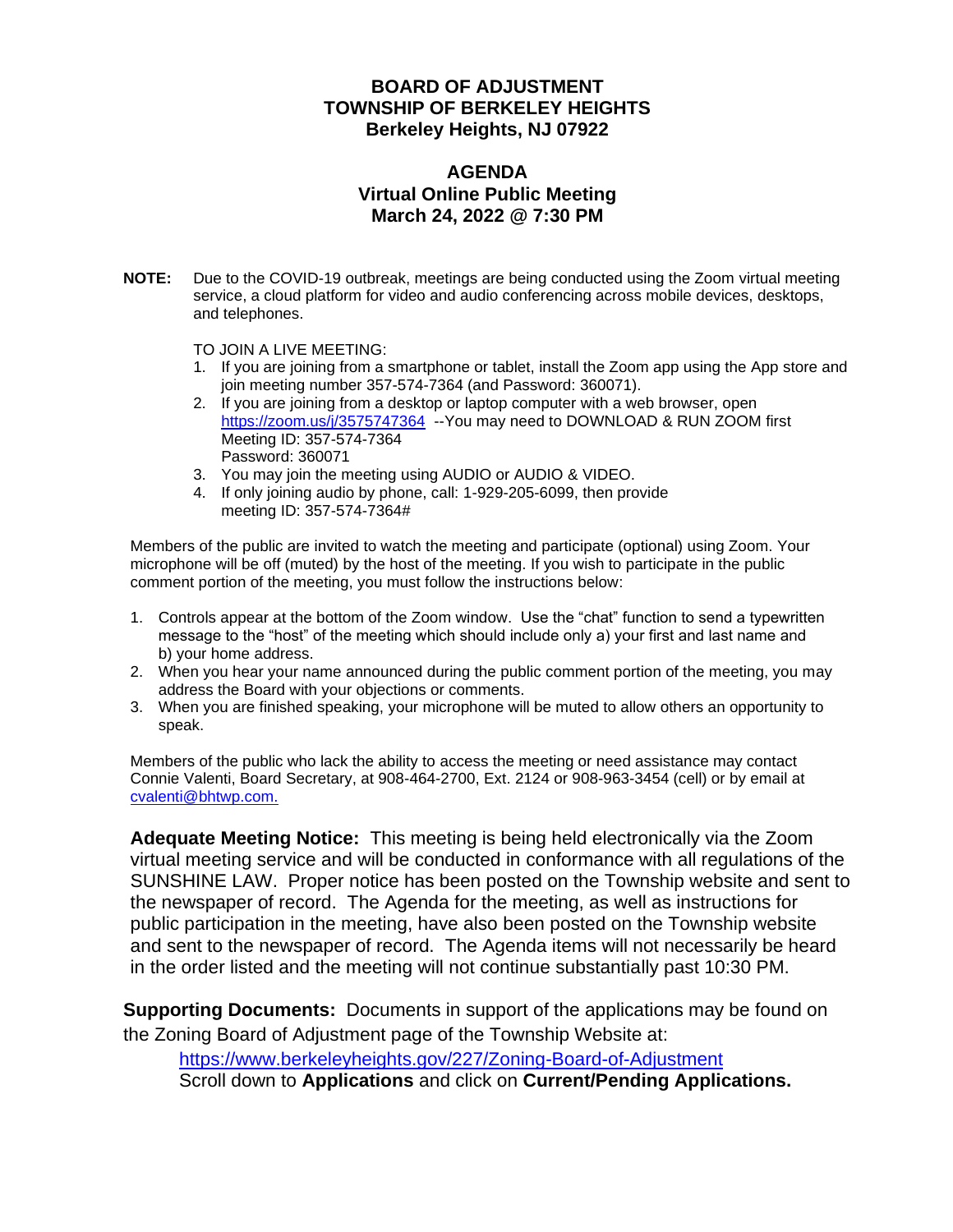#### **BOARD OF ADJUSTMENT TOWNSHIP OF BERKELEY HEIGHTS Berkeley Heights, NJ 07922**

#### **AGENDA Virtual Online Public Meeting March 24, 2022 @ 7:30 PM**

**NOTE:** Due to the COVID-19 outbreak, meetings are being conducted using the Zoom virtual meeting service, a cloud platform for video and audio conferencing across mobile devices, desktops, and telephones.

TO JOIN A LIVE MEETING:

- 1. If you are joining from a smartphone or tablet, install the Zoom app using the App store and join meeting number 357-574-7364 (and Password: 360071).
- 2. If you are joining from a desktop or laptop computer with a web browser, open <https://zoom.us/j/3575747364>--You may need to DOWNLOAD & RUN ZOOM first Meeting ID: 357-574-7364 Password: 360071
- 3. You may join the meeting using AUDIO or AUDIO & VIDEO.
- 4. If only joining audio by phone, call: 1-929-205-6099, then provide meeting ID: 357-574-7364#

Members of the public are invited to watch the meeting and participate (optional) using Zoom. Your microphone will be off (muted) by the host of the meeting. If you wish to participate in the public comment portion of the meeting, you must follow the instructions below:

- 1. Controls appear at the bottom of the Zoom window. Use the "chat" function to send a typewritten message to the "host" of the meeting which should include only a) your first and last name and b) your home address.
- 2. When you hear your name announced during the public comment portion of the meeting, you may address the Board with your objections or comments.
- 3. When you are finished speaking, your microphone will be muted to allow others an opportunity to speak.

Members of the public who lack the ability to access the meeting or need assistance may contact Connie Valenti, Board Secretary, at 908-464-2700, Ext. 2124 or 908-963-3454 (cell) or by email at [cvalenti@bhtwp.com.](mailto:cvalenti@bhtwp.com)

**Adequate Meeting Notice:** This meeting is being held electronically via the Zoom virtual meeting service and will be conducted in conformance with all regulations of the SUNSHINE LAW. Proper notice has been posted on the Township website and sent to the newspaper of record. The Agenda for the meeting, as well as instructions for public participation in the meeting, have also been posted on the Township website and sent to the newspaper of record. The Agenda items will not necessarily be heard in the order listed and the meeting will not continue substantially past 10:30 PM.

**Supporting Documents:** Documents in support of the applications may be found on the Zoning Board of Adjustment page of the Township Website at:

<https://www.berkeleyheights.gov/227/Zoning-Board-of-Adjustment> Scroll down to **Applications** and click on **Current/Pending Applications.**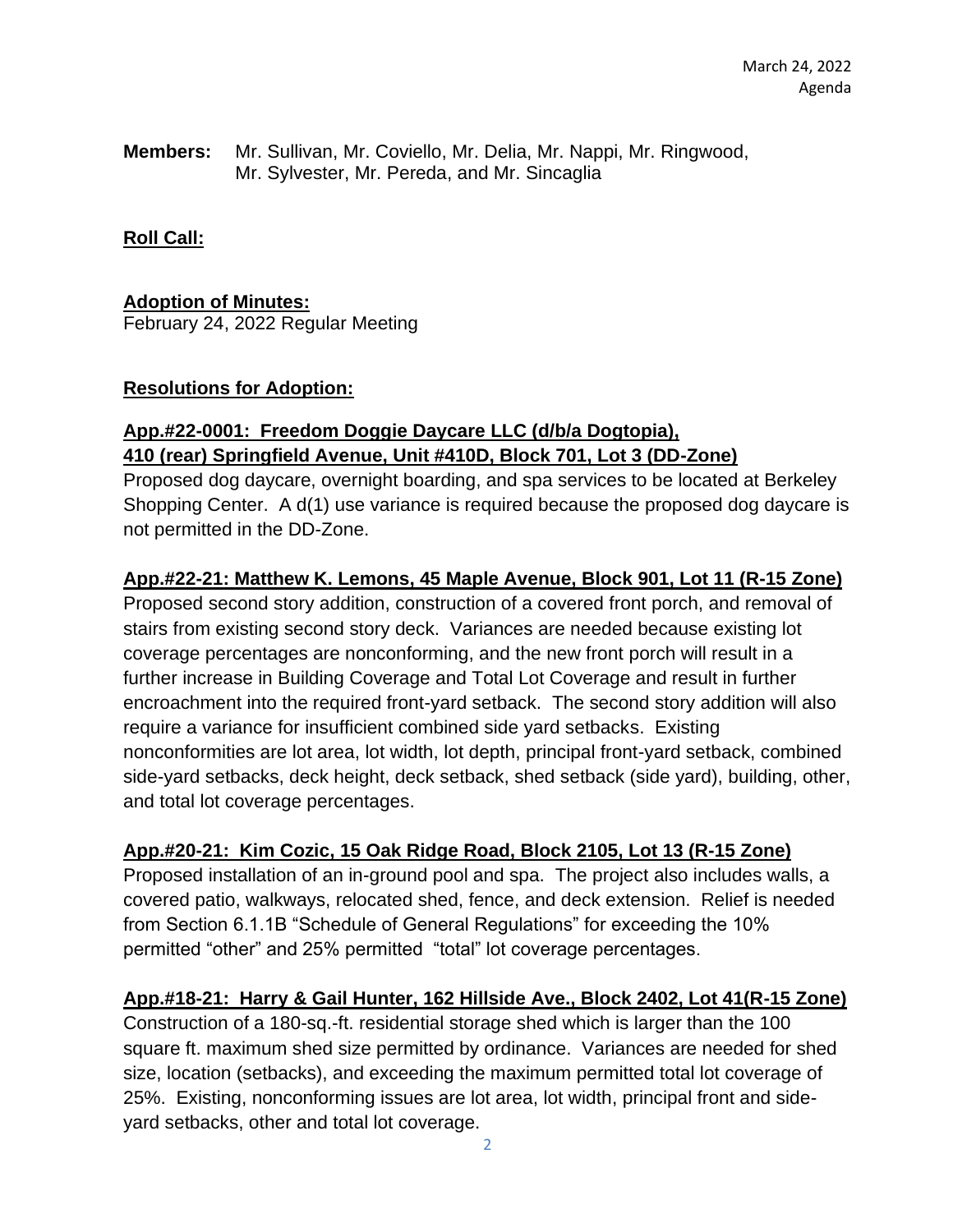**Members:** Mr. Sullivan, Mr. Coviello, Mr. Delia, Mr. Nappi, Mr. Ringwood, Mr. Sylvester, Mr. Pereda, and Mr. Sincaglia

**Roll Call:**

# **Adoption of Minutes:**

February 24, 2022 Regular Meeting

# **Resolutions for Adoption:**

# **App.#22-0001: Freedom Doggie Daycare LLC (d/b/a Dogtopia), 410 (rear) Springfield Avenue, Unit #410D, Block 701, Lot 3 (DD-Zone)**

Proposed dog daycare, overnight boarding, and spa services to be located at Berkeley Shopping Center. A d(1) use variance is required because the proposed dog daycare is not permitted in the DD-Zone.

# **App.#22-21: Matthew K. Lemons, 45 Maple Avenue, Block 901, Lot 11 (R-15 Zone)**

Proposed second story addition, construction of a covered front porch, and removal of stairs from existing second story deck. Variances are needed because existing lot coverage percentages are nonconforming, and the new front porch will result in a further increase in Building Coverage and Total Lot Coverage and result in further encroachment into the required front-yard setback. The second story addition will also require a variance for insufficient combined side yard setbacks. Existing nonconformities are lot area, lot width, lot depth, principal front-yard setback, combined side-yard setbacks, deck height, deck setback, shed setback (side yard), building, other, and total lot coverage percentages.

# **App.#20-21: Kim Cozic, 15 Oak Ridge Road, Block 2105, Lot 13 (R-15 Zone)**

Proposed installation of an in-ground pool and spa. The project also includes walls, a covered patio, walkways, relocated shed, fence, and deck extension. Relief is needed from Section 6.1.1B "Schedule of General Regulations" for exceeding the 10% permitted "other" and 25% permitted "total" lot coverage percentages.

# **App.#18-21: Harry & Gail Hunter, 162 Hillside Ave., Block 2402, Lot 41(R-15 Zone)**

Construction of a 180-sq.-ft. residential storage shed which is larger than the 100 square ft. maximum shed size permitted by ordinance. Variances are needed for shed size, location (setbacks), and exceeding the maximum permitted total lot coverage of 25%. Existing, nonconforming issues are lot area, lot width, principal front and sideyard setbacks, other and total lot coverage.